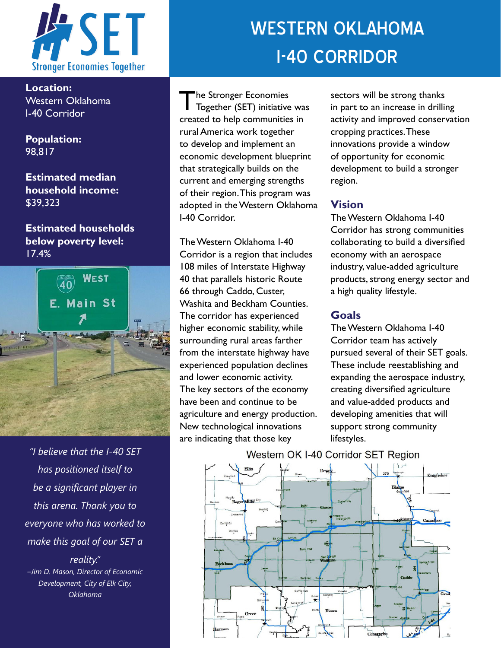

**Location:**  Western Oklahoma I-40 Corridor

**Population:**  98,817

**Estimated median household income:**  \$39,323

**Estimated households below poverty level:**  17.4%



*"I believe that the I-40 SET has positioned itself to be a significant player in this arena. Thank you to everyone who has worked to make this goal of our SET a* 

*reality." –Jim D. Mason, Director of Economic Development, City of Elk City, Oklahoma*

# WESTERN OKLAHOMA I-40 CORRIDOR

The Stronger Economies<br>Together (SET) initiative was created to help communities in rural America work together to develop and implement an economic development blueprint that strategically builds on the current and emerging strengths of their region. This program was adopted in the Western Oklahoma I-40 Corridor.

The Western Oklahoma I-40 Corridor is a region that includes 108 miles of Interstate Highway 40 that parallels historic Route 66 through Caddo, Custer, Washita and Beckham Counties. The corridor has experienced higher economic stability, while surrounding rural areas farther from the interstate highway have experienced population declines and lower economic activity. The key sectors of the economy have been and continue to be agriculture and energy production. New technological innovations are indicating that those key

sectors will be strong thanks in part to an increase in drilling activity and improved conservation cropping practices. These innovations provide a window of opportunity for economic development to build a stronger region.

#### **Vision**

The Western Oklahoma I-40 Corridor has strong communities collaborating to build a diversified economy with an aerospace industry, value-added agriculture products, strong energy sector and a high quality lifestyle.

#### **Goals**

The Western Oklahoma I-40 Corridor team has actively pursued several of their SET goals. These include reestablishing and expanding the aerospace industry, creating diversified agriculture and value-added products and developing amenities that will support strong community lifestyles.



### Western OK I-40 Corridor SET Region